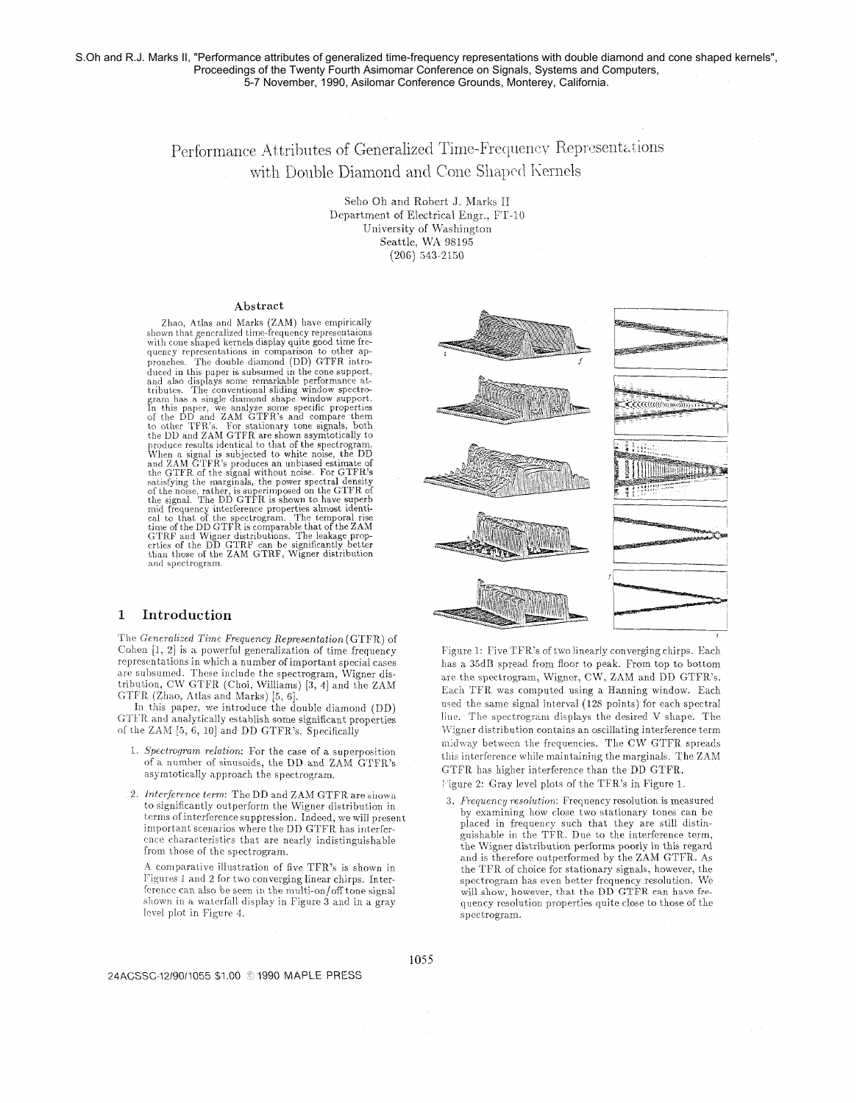# Performance Attributes of Generalized Time-Frequency Representations with Double Diamond and Cone Shaped Kernels

Seho Oh and Robert J. Marks II Department of Electrical Engr., FT-10 University of Washington Seattle, WA 98195  $(206)$  543-2150

#### Abstract

Zhao, Atlas and Marks (ZAM) have empirically shown that generalized time-frequency representaions<br>with cone shaped kernels display quite good time frequency representations in comparison to other apquare, The double diamond (DD) GTFR intro-<br>duced in this paper is subsumed in the cone support, duced in this paper is subsumed in the cone support,<br>and also displays some remarkable performance at-<br>tributes. The conventional sliding window spectro-<br>gram has a single diamond shape window support.<br>In this paper, we an the DD and ZAM GTFR are shown asymtotically to<br>produce results identical to that of the spectrogram.<br>When a signal is subjected to white noise, the DD<br>and ZAM GTFR's produces an unbiased estimate of<br>the GTFR of the signal GTRF and Wigner distributions. The leakage properties of the DD GTRF can be significantly better than those of the ZAM GTRF, Wigner distribution and spectrogram.

#### Introduction  $\mathbf{1}$

The Generalized Time Frequency Representation (GTFR) of Cohen  $[1, 2]$  is a powerful generalization of time frequency representations in which a number of important special cases are subsumed. These include the spectrogram, Wigner distribution, CW GTFR (Choi, Williams) [3, 4] and the ZAM GTFR (Zhao, Atlas and Marks) [5, 6].

In this paper, we introduce the double diamond (DD) GTFR and analytically establish some significant properties of the ZAM [5, 6, 10] and DD GTFR's. Specifically

- 1. Spectrogram relation: For the case of a superposition of a number of sinusoids, the DD and ZAM GTFR's asymtotically approach the spectrogram.
- 2. Interference term: The DD and ZAM GTFR are shown to significantly outperform the Wigner distribution in terms of interference suppression. Indeed, we will present important scenarios where the DD GTFR has interference characteristics that are nearly indistinguishable from those of the spectrogram.

A comparative illustration of five TFR's is shown in Figures 1 and 2 for two converging linear chirps. Interference can also be seen in the multi-on/off tone signal shown in a waterfall display in Figure 3 and in a gray level plot in Figure 4.



Figure 1: Five TFR's of two linearly converging chirps. Each has a 35dB spread from floor to peak. From top to bottom are the spectrogram, Wigner, CW, ZAM and DD GTFR's. Each TFR was computed using a Hanning window. Each used the same signal interval (128 points) for each spectral line. The spectrogram displays the desired V shape. The Wigner distribution contains an oscillating interference term midway between the frequencies. The CW GTFR spreads this interference while maintaining the marginals. The ZAM GTFR has higher interference than the DD GTFR. Pigure 2: Gray level plots of the TFR's in Figure 1.

3. Frequency resolution: Frequency resolution is measured by examining how close two stationary tones can be placed in frequency such that they are still distinguishable in the TFR. Due to the interference term, the Wigner distribution performs poorly in this regard and is therefore outperformed by the ZAM GTFR. As the TFR of choice for stationary signals, however, the spectrogram has even better frequency resolution. We will show, however, that the DD GTFR can have frequency resolution properties quite close to those of the spectrogram.

#### 24ACSSC-12/90/1055 \$1.00 @ 1990 MAPLE PRESS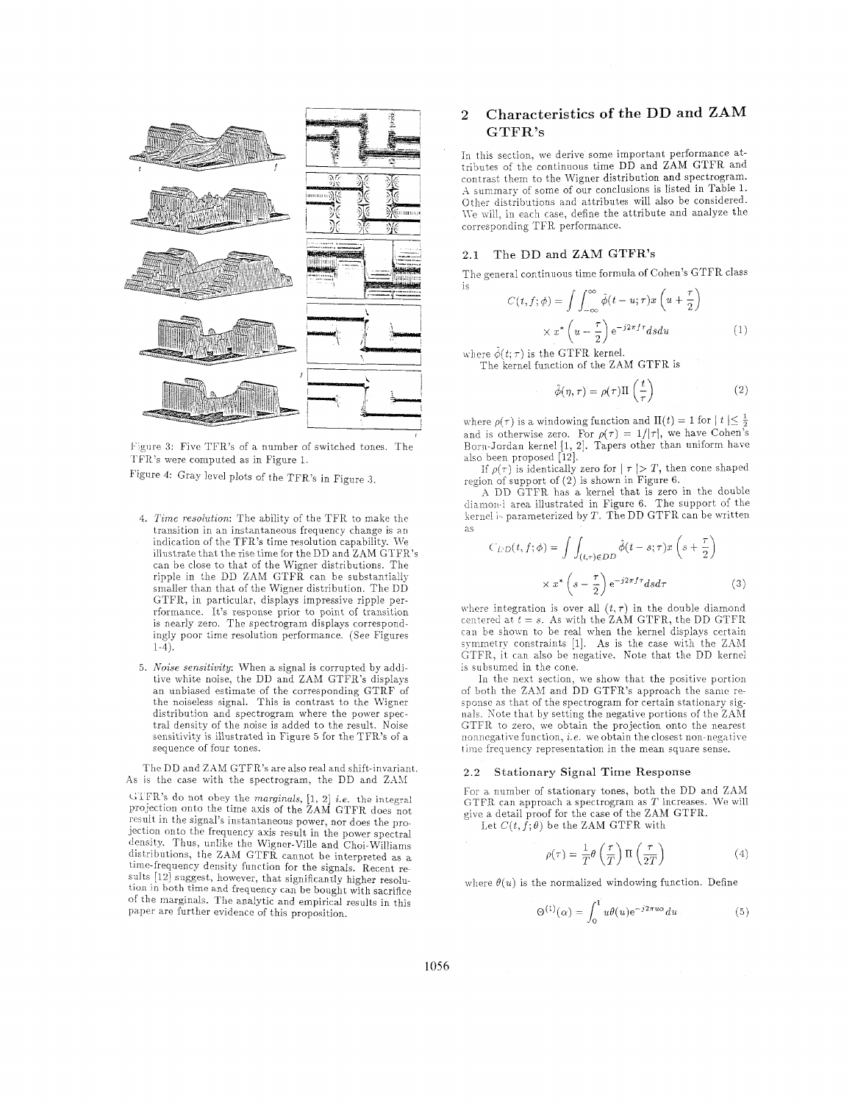

Figure 3: Five TFR's of a number of switched tones. The TFR's were computed as in Figure 1.

Figure 4: Gray level plots of the TFR's in Figure **.3** 

- 4. Time resolution: The ability of the TFR to make the transition in an instantaneous frequency change is an indication of the TFR's time resolution capability. We illustrate that the rise time for the DD and ZAM GTFR's can be close to that of the Wigner distributions. The ripple in the DD ZAM GTFR can be substantially smaller than that of the Wigner distribution. The DD GTFR, in particular, displays impressive ripple perrformance. It's response prior to point of transition is nearly zero. The spectrogram displays correspondingly poor time resolution performance. (See Figures 1-4).
- 5. **Noise sensitivity:** When a signal is corrupted by additive white noise, the DD and ZAM GTFR's displays an unbiased estimate of the corresponding GTRF of the noiseless signal. This is contrast to the Wigner distribution and spectrogram where the power spectral density of the noise is added to the result. Noise sensitivity is illustrated in Figure 5 for the TFR's of a sequence of four tones.

The DD and ZAM GTFR's are also real and shift-invariant. As is the case with the spectrogram, the DD and ZAM

I; I FR's do not obey the marginals, [I, 21 *i.e.* the integral projection onto the time axis of the ZAM GTFR does not result in the signal's instantaneous power, nor does the projection onto the frequency axis result in the power spectral density. Thus, unlike the Wigner-Ville and Choi-Williams distributions, the ZAM GTFR cannot be interpreted as a time-frequency density function for the signals. Recent results [12] suggest, however, that significantly higher resolution in both time and frequency can be bought with sacrifice of the marginals. The analytic and empirical results in this paper are further evidence of this proposition.

# **2** Characteristics of the DD and ZAM GTFR's

In this section, we derive some important performance attributes of the continuous time DD and ZAM GTFR and contrast them to the Wigner distribution and spectrogram. -4 summary of some of our conclusions is listed in Table 1. Other distributions and attributes will also be considered. We will, in each case, define the attribute and analyze the corresponding TFR performance.

# 2.1 The DD and ZAM GTFR's

The general continuous time formula of Cohen's GTFR class

$$
C(t, f; \phi) = \int \int_{-\infty}^{\infty} \hat{\phi}(t - u; \tau) x \left( u + \frac{\tau}{2} \right)
$$

$$
\times x^* \left( u - \frac{\tau}{2} \right) e^{-j2\pi f \tau} ds du \tag{1}
$$

where  $\hat{\phi}(t;\tau)$  is the GTFR kernel. The kernel function of the ZAM GTFR is

$$
\hat{\phi}(\eta, \tau) = \rho(\tau) \Pi\left(\frac{t}{\tau}\right) \tag{2}
$$

where  $\rho(\tau)$  is a windowing function and  $\Pi(t) = 1$  for  $|t| \leq \frac{1}{2}$ and is otherwise zero. For  $\rho(\tau) = 1/|\tau|$ , we have Cohen's Born-Jordan kernel [1, 2]. Tapers other than uniform have also been proposed [12].

If  $\rho(\tau)$  is identically zero for  $|\tau| > T$ , then cone shaped region of support of (2) is shown in Figure 6.

X DD GTFR has a kernel that is zero in the double diamond area illustrated in Figure 6. The support of the kernel is parameterized by T. The DD GTFR can be written as

$$
C_{LD}(t, f; \phi) = \int \int_{(t, \tau) \in DD} \hat{\phi}(t - s; \tau) x \left(s + \frac{\tau}{2}\right)
$$

$$
\times x^* \left(s - \frac{\tau}{2}\right) e^{-j2\pi f \tau} ds d\tau
$$
(3)

where integration is over all  $(t, \tau)$  in the double diamond centered  $\mathbf{a} \mathbf{t} \ \mathbf{t} = s$ . As with the  $ZAM$  GTFR, the DD GTFR can be shown to be real when the kernel displays certain symmetry constraints  $[1]$ . As is the case with the ZAM GTFR, it can also be negative. Note that the DD kernel is subsumed in the cone.

In the next section, we show that the positive portion of both the ZAM and DD GTFR's approach the same response as that of the spectrogram for certain stationary signals. Note that by setting the negative portions of the  $ZAM$ GTFR to zero, we obtain the projection onto the nearest nonnegative function, *i.e.* we obtain the closest non-negative time frequency representation in the mean square sense.

### 2.2 Stationary Signal Time Response

For a number of stationary tones, both the DD and ZAM GTFR can approach a spectrogram as *T* increases. We will give a detail proof for the case of the ZAM GTFR.

Let  $C(t, \hat{f}; \theta)$  be the ZAM GTFR with

$$
\rho(\tau) = \frac{1}{T} \theta\left(\frac{\tau}{T}\right) \Pi\left(\frac{\tau}{2T}\right) \tag{4}
$$

where  $\theta(u)$  is the normalized windowing function. Define

$$
\Theta^{(1)}(\alpha) = \int_0^1 u \theta(u) e^{-j2\pi u \alpha} du \qquad (5)
$$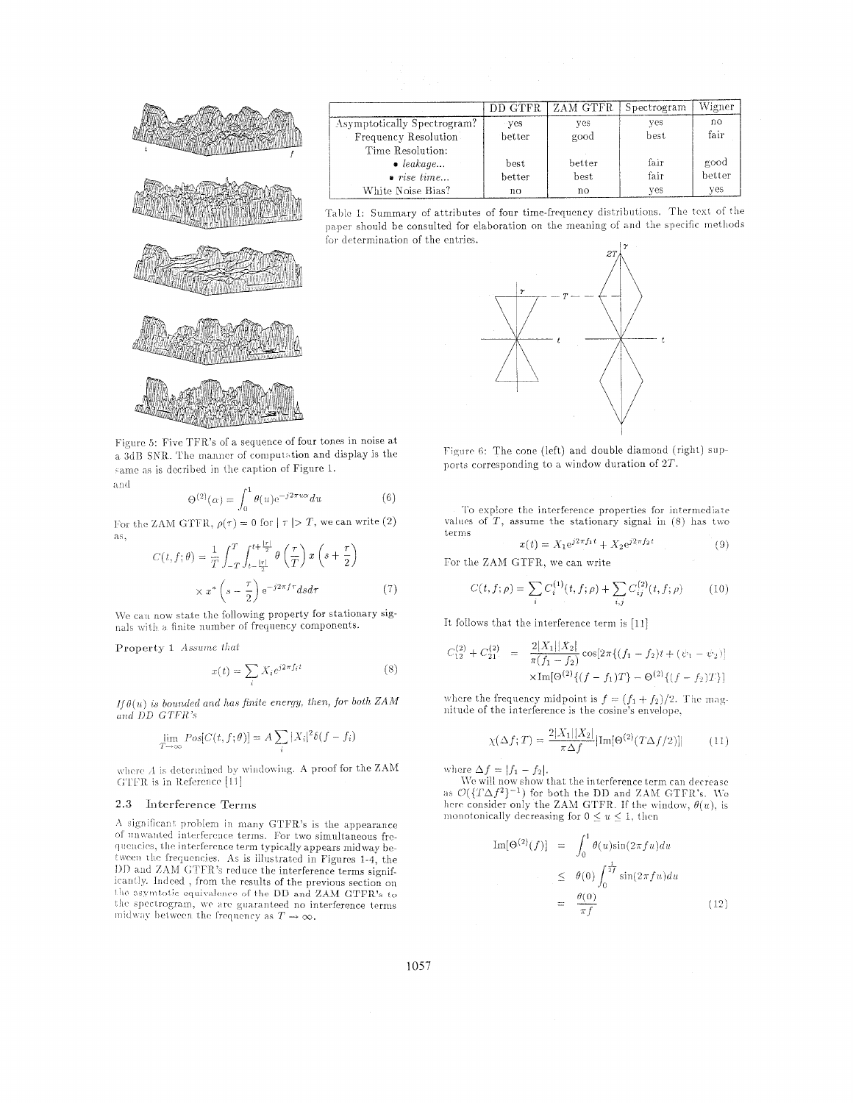

Figure 5: Five TFR's of a sequence of four tones in noise at a 3dB SNR. The manner of computation and display is the same as is decribed in the caption of Figure 1. **b** nd

$$
\Theta^{(2)}(\alpha) = \int_0^1 \theta(u) e^{-j2\pi u \alpha} du \tag{6}
$$

For the ZAM GTFR,  $\rho(\tau) = 0$  for  $|\tau| > T$ , we can write (2) as.

$$
C(t, f; \theta) = \frac{1}{T} \int_{-T}^{T} \int_{t - \frac{|\tau|}{2}}^{t + \frac{|\tau|}{2}} \theta\left(\frac{\tau}{T}\right) x \left(s + \frac{\tau}{2}\right)
$$

$$
\times x^* \left(s - \frac{\tau}{2}\right) e^{-j2\pi f \tau} ds d\tau \tag{7}
$$

We can now state the following property for stationary signals with a finite number of frequency components.

Property 1 Assume that

$$
x(t) = \sum_{i} X_i e^{j2\pi f_i t} \tag{8}
$$

If  $\theta(u)$  is bounded and has finite energy, then, for both ZAM and DD GTFR's

$$
\lim_{T \to \infty} Pos[C(t, f; \theta)] = A \sum_{i} |X_i|^2 \delta(f - f_i)
$$

where  $A$  is determined by windowing. A proof for the ZAM GTFR is in Reference [11]

### 2.3 Interference Terms

A significant problem in many GTFR's is the appearance of unwanted interference terms. For two simultaneous frequencies, the interference term typically appears midway between the frequencies. As is illustrated in Figures 1-4, the DD and ZAM GTFR's reduce the interference terms significantly. Indeed, from the results of the previous section on the asymtotic equivalence of the DD and ZAM GTFR's to the spectrogram, we are guaranteed no interference terms midway between the frequency as  $T \to \infty$ .

|                             | DD GTFR | ZAM GTFR | Spectrogram | Wigner |
|-----------------------------|---------|----------|-------------|--------|
| Asymptotically Spectrogram? | ∵ves    | yes      | yes         | no     |
| Frequency Resolution        | better  | good     | best.       | fair   |
| Time Resolution:            |         |          |             |        |
| $\bullet$ leakage           | best    | better   | fair        | good   |
| $\bullet$ rise time         | better  | best     | fair        | better |
| White Noise Bias?           | no      | no       | ves         | yes    |

Table 1: Summary of attributes of four time-frequency distributions. The text of the paper should be consulted for elaboration on the meaning of and the specific methods for determination of the entries.



Figure 6: The cone (left) and double diamond (right) supports corresponding to a window duration of  $2T$ .

To explore the interference properties for intermediate values of  $T$ , assume the stationary signal in (8) has two terms

$$
x(t) = X_1 e^{j2\pi f_1 t} + X_2 e^{j2\pi f_2 t}
$$
 (9)

For the ZAM GTFR, we can write

$$
C(t, f; \rho) = \sum_{i} C_i^{(1)}(t, f; \rho) + \sum_{i,j} C_{ij}^{(2)}(t, f; \rho)
$$
 (10)

It follows that the interference term is [11]

$$
C_{12}^{(2)} + C_{21}^{(2)} = \frac{2|X_1||X_2|}{\pi(f_1 - f_2)} \cos[2\pi((f_1 - f_2)t + (\psi_1 - \psi_2))]
$$
  
 
$$
\times \text{Im}[\Theta^{(2)}\{(f - f_1)T\} - \Theta^{(2)}\{(f - f_2)T\}]
$$

where the frequency midpoint is  $f = (f_1 + f_2)/2$ . The magnitude of the interference is the cosine's envelope.

$$
\chi(\Delta f;T) = \frac{2|X_1||X_2|}{\pi \Delta f} |\text{Im}[\Theta^{(2)}(T\Delta f/2)]| \tag{11}
$$

where  $\Delta f = |f_1 - f_2|$ .<br>We will now show that the interference term can decrease as  $\mathcal{O}(\{T\Delta f^2\}^{-1})$  for both the DD and ZAM GTFR's. We here consider only the ZAM GTFR. If the window,  $\theta(u)$ , is monotonically decreasing for  $0 \le u \le 1$ , then

$$
\text{Im}[\Theta^{(2)}(f)] = \int_0^1 \theta(u)\sin(2\pi f u) du
$$
  

$$
\leq \theta(0) \int_0^{\frac{1}{2f}} \sin(2\pi f u) du
$$
  

$$
= \frac{\theta(0)}{\pi f} \qquad (12)
$$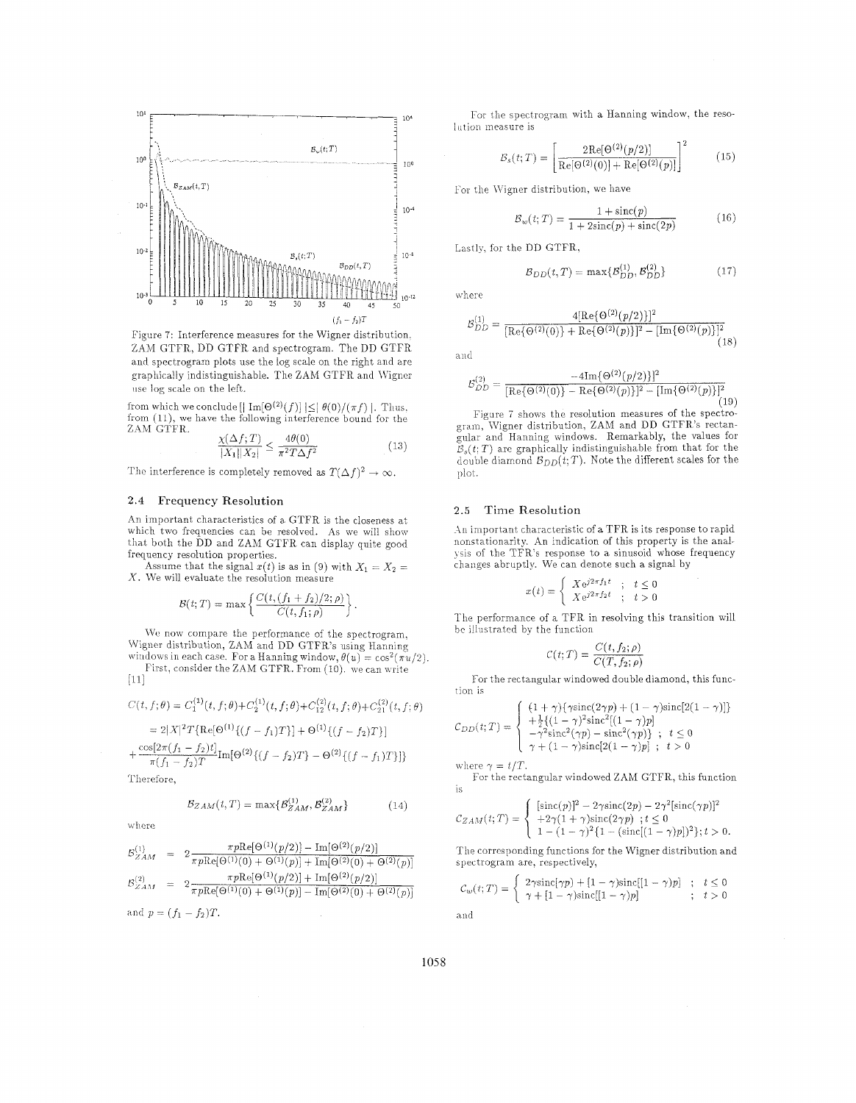

Figure 7: Interference measures for the Wigner distribution, ZAM GTFR, DD GTFR and spectrogram. The DD GTFR and spectrogram plots use the log scale on the right and are graphically indistinguishable. The ZAM GTFR and Wigner use log scale on the left.

from which we conclude [ $| {\rm Im}[\Theta^{(2)}(f)] | \leq | \theta(0)/(\pi f) |$ . Thus. from  $(11)$ , we have the following interference bound for the ZAM GTFR.

$$
\frac{\chi(\Delta f;T)}{|X_1||X_2|} \le \frac{4\theta(0)}{\pi^2 T \Delta f^2} \tag{13}
$$

The interference is completely removed as  $T(\Delta f)^2 \to \infty$ .

## 2.4 Frequency Resolution

An important characteristics of a GTFR is the closeness at which two frequencies can be resolved. As we will show that both the DD and ZAM GTFR can display quite good frequency resolution properties.

Assume that the signal  $x(t)$  is as in (9) with  $X_1 = X_2 =$  $X$ . We will evaluate the resolution measure

$$
\mathcal{B}(t;T) = \max \left\{ \frac{C(t, (f_1 + f_2)/2; \rho)}{C(t, f_1; \rho)} \right\}
$$

We now compare the performance of the spectrogram. Wigner distribution, ZAM and DD GTFR's using Hanning windows in each case. For a Hanning window,  $\theta(u) = \cos^2(\pi u/2)$ . First, consider the ZAM GTFR. From (10). we can write  $[11]$ 

$$
C(t, f; \theta) = C_1^{(1)}(t, f; \theta) + C_2^{(1)}(t, f; \theta) + C_{12}^{(2)}(t, f; \theta) + C_{21}^{(2)}(t, f; \theta)
$$
  
= 2|X|^2 T {Re[ $\Theta^{(1)}\{(f - f_1)T\}$ ] +  $\Theta^{(1)}\{(f - f_2)T\}$ ]}  
+  $\frac{\cos[2\pi(f_1 - f_2)t]}{\pi(f_1 - f_2)T}$  Im[ $\Theta^{(2)}\{(f - f_2)T\}$  -  $\Theta^{(2)}\{(f - f_1)T\}$ ]}

Therefore,

$$
B_{ZAM}(t,T) = \max\{\mathcal{B}_{ZAM}^{(1)}, \mathcal{B}_{ZAM}^{(2)}\}
$$
(14)

where

$$
\begin{array}{rcl}\nE_{ZAM}^{(1)} & = & 2 \frac{\pi p \text{Re}[\Theta^{(1)}(p/2)] - \text{Im}[\Theta^{(2)}(p/2)]}{\pi p \text{Re}[\Theta^{(1)}(0) + \Theta^{(1)}(p)] + \text{Im}[\Theta^{(2)}(0) + \Theta^{(2)}(p)]} \\
E_{ZAM}^{(2)} & = & 2 \frac{\pi p \text{Re}[\Theta^{(1)}(p/2)] + \text{Im}[\Theta^{(2)}(p/2)]}{\pi p \text{Re}[\Theta^{(1)}(0) + \Theta^{(1)}(p)] - \text{Im}[\Theta^{(2)}(0) + \Theta^{(2)}(p)]} \\
\text{and } p = (f_1 - f_2)T.\n\end{array}
$$

For the spectrogram with a Hanning window, the resolution measure is

$$
B_s(t;T) = \left[ \frac{2\text{Re}[\Theta^{(2)}(p/2)]}{\text{Re}[\Theta^{(2)}(0)] + \text{Re}[\Theta^{(2)}(p)]} \right]^2 \tag{15}
$$

For the Wigner distribution, we have

$$
B_w(t;T) = \frac{1 + \text{sinc}(p)}{1 + 2\text{sinc}(p) + \text{sinc}(2p)}\tag{16}
$$

Lastly. for the DD GTFR,

$$
B_{DD}(t,T) = \max\{\mathcal{B}_{DD}^{(1)}, \mathcal{B}_{DD}^{(2)}\} \tag{17}
$$

where

$$
S_{DD}^{(1)} = \frac{4[\text{Re}\{\Theta^{(2)}(p/2)\}]^{2}}{[\text{Re}\{\Theta^{(2)}(0)\} + \text{Re}\{\Theta^{(2)}(p)\}]^{2} - [\text{Im}\{\Theta^{(2)}(p)\}]^{2}}
$$
(18)

and

$$
\mathcal{B}_{DD}^{(2)} = \frac{-4 \text{Im} \{ \Theta^{(2)}(p/2) \} ]^2}{[\text{Re} \{ \Theta^{(2)}(0) \} - \text{Re} \{ \Theta^{(2)}(p) \} ]^2 - [\text{Im} \{ \Theta^{(2)}(p) \} ]^2}
$$

Figure 7 shows the resolution measures of the spectrogram, Wigner distribution, ZAM and DD GTFR's rectangular and Hanning windows. Remarkably, the values for  $\mathcal{B}_s(t; T)$  are graphically indistinguishable from that for the double diamond  $\mathcal{B}_{DD}(t;T)$ . Note the different scales for the plot.

#### *2.5* Time Resolution

.hi important characteristic of a TFR is its response to rapid nonstationarity. An indication of this property is the analysis of the TFR's response to a sinusoid whose frequency changes abruptly. We can denote such a signal by

$$
x(t) = \begin{cases} X e^{j2\pi f_1 t} & ; \quad t \leq 0 \\ X e^{j2\pi f_2 t} & ; \quad t > 0 \end{cases}
$$

The performance of a TFR in resolving this transition will he lllustratcd by the function

$$
\mathcal{C}(t;T) = \frac{C(t, f_2; \rho)}{C(T, f_2; \rho)}
$$

For the rectangular windowed double diamond, this function is

$$
C_{DD}(t;T) = \begin{cases} (1+\gamma)\{\gamma \text{sinc}(2\gamma p) + (1-\gamma)\text{sinc}[2(1-\gamma)]\} \\ + \frac{1}{2}\{ (1-\gamma)^2 \text{sinc}^2[(1-\gamma)p] \\ -\gamma^2 \text{sinc}^2(\gamma p) - \text{sinc}^2(\gamma p) \} ; & t \le 0 \\ \gamma + (1-\gamma)\text{sinc}[2(1-\gamma)p] ; & t > 0 \end{cases}
$$

where  $\gamma = t/T$ .

Tor the rectangular windowed ZAM GTFR, this function is

is  
\n
$$
C_{ZAM}(t;T) = \begin{cases}\n[\text{sinc}(p)]^2 - 2\gamma \text{sinc}(2p) - 2\gamma^2[\text{sinc}(\gamma p)]^2 \\
+ 2\gamma(1 + \gamma)\text{sinc}(2\gamma p) \quad t \le 0 \\
1 - (1 - \gamma)^2\{1 - (\text{sinc}[(1 - \gamma)p])^2\}; t > 0.\n\end{cases}
$$
\nThe corresponding functions for the Wigner distribution and

spectrogram are, respectively,

$$
C_w(t;T) = \begin{cases} 2\gamma \sin(c|\gamma p) + [1-\gamma)\sin(c[(1-\gamma)p)] & ; \quad t \le 0 \\ \gamma + [1-\gamma)\sin(c[(1-\gamma)p)] & ; \quad t > 0 \end{cases}
$$
 and

1058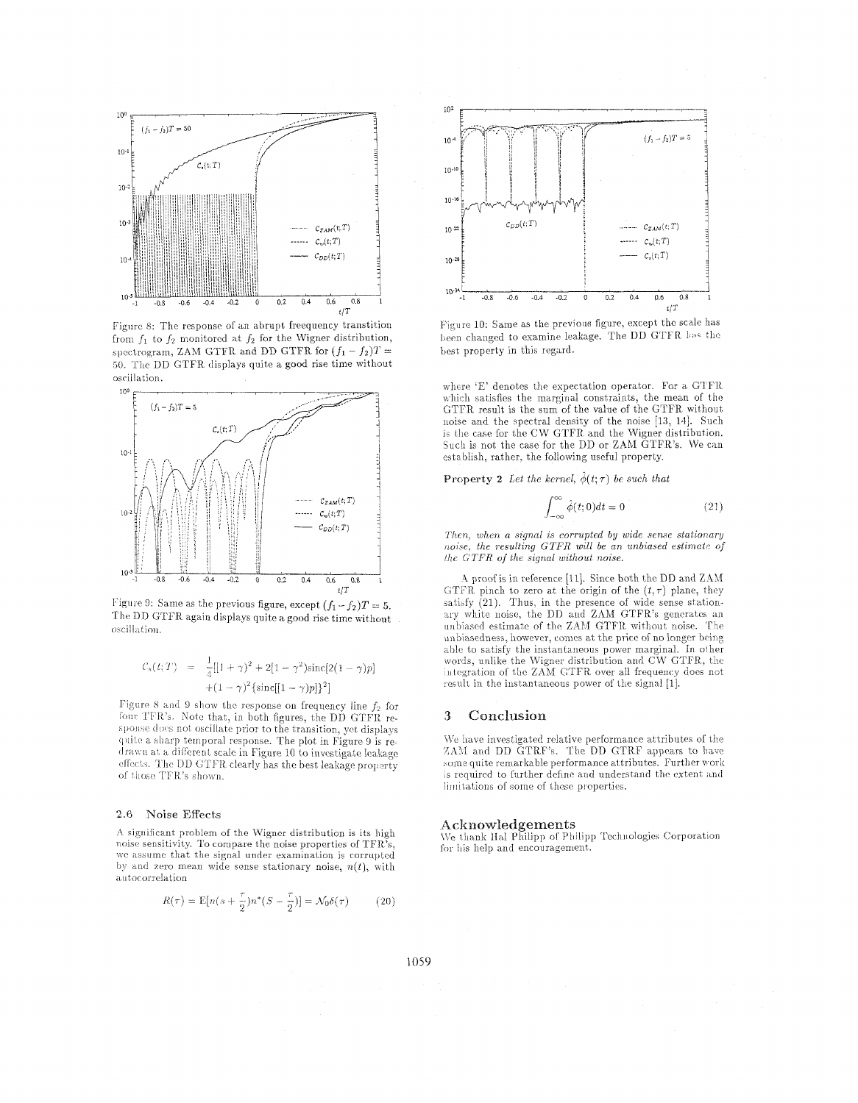

Figure 8: The response of an abrupt freequency transtition from  $f_1$  to  $f_2$  monitored at  $f_2$  for the Wigner distribution, spectrogram, ZAM GTFR and DD GTFR for  $(f_1 - f_2)T =$ 50. The DD GTFR displays quite a good rise time without oscillation.



Figure 9: Same as the previous figure, except  $(f_1 - f_2)T = 5$ . The DD GTFR again displays quite a good rise time without oscillation.

$$
C_s(t;T) = \frac{1}{4}[[1+\gamma)^2 + 2[1-\gamma^2]\text{sinc}[2(1-\gamma)p] + (1-\gamma)^2\{\text{sinc}[[1-\gamma)p]\}^2]
$$

Figure 8 and 9 show the response on frequency line  $f_2$  for four TFR's. Note that, in both figures, the DD GTFR response does not oscillate prior to the transition, yet displays quite a sharp temporal response. The plot in Figure 9 is redrawn at a different scale in Figure 10 to investigate leakage effects. The DD GTFR clearly has the best leakage property of those TFR's shown.

#### 2.6 Noise Effects

A significant problem of the Wigner distribution is its high noise sensitivity. To compare the noise properties of TFR's, we assume that the signal under examination is corrupted by and zero mean wide sense stationary noise,  $n(t)$ , with autocorrelation

$$
R(\tau) = \mathbb{E}[n(s + \frac{\tau}{2})n^*(S - \frac{\tau}{2})] = \mathcal{N}_0 \delta(\tau) \tag{20}
$$



Figure 10: Same as the previous figure, except the scale has been changed to examine leakage. The DD GTFR has the best property in this regard.

where 'E' denotes the expectation operator. For a GTFR which satisfies the marginal constraints, the mean of the GTFR result is the sum of the value of the GTFR without noise and the spectral density of the noise [13, 14]. Such is the case for the CW GTFR and the Wigner distribution. Such is not the case for the DD or ZAM GTFR's. We can establish, rather, the following useful property.

**Property 2** Let the kernel,  $\hat{\phi}(t;\tau)$  be such that

$$
\int_{-\infty}^{\infty} \hat{\phi}(t;0)dt = 0
$$
 (21)

Then, when a signal is corrupted by wide sense stationary noise, the resulting GTFR will be an unbiased estimate of the GTFR of the signal without noise.

A proof is in reference [11]. Since both the DD and ZAM GTFR pinch to zero at the origin of the  $(t, \tau)$  plane, they satisfy (21). Thus, in the presence of wide sense stationary white noise, the DD and ZAM GTFR's generates an unbiased estimate of the ZAM GTFR without noise. The unbiasedness, however, comes at the price of no longer being able to satisfy the instantaneous power marginal. In other words, unlike the Wigner distribution and CW GTFR, the integration of the ZAM GTFR over all frequency does not result in the instantaneous power of the signal [1].

#### Conclusion 3

We have investigated relative performance attributes of the ZAM and DD GTRF's. The DD GTRF appears to have some quite remarkable performance attributes. Further work is required to further define and understand the extent and limitations of some of these properties.

#### Acknowledgements

We thank Hal Philipp of Philipp Technologies Corporation for his help and encouragement.